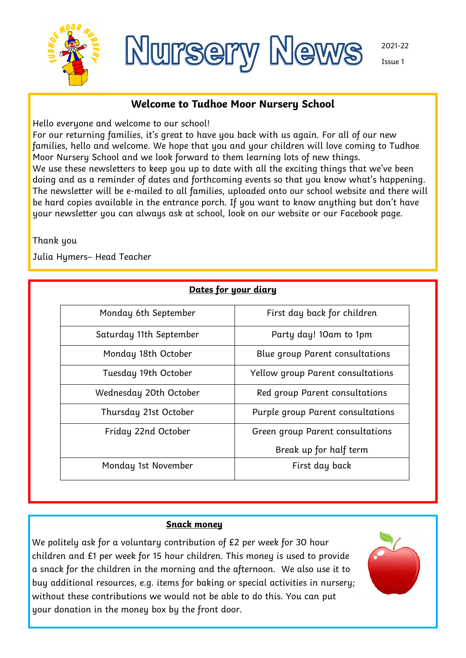



Issue 1

# **Welcome to Tudhoe Moor Nursery School**

Hello everyone and welcome to our school!

For our returning families, it's great to have you back with us again. For all of our new families, hello and welcome. We hope that you and your children will love coming to Tudhoe Moor Nursery School and we look forward to them learning lots of new things. We use these newsletters to keep you up to date with all the exciting things that we've been doing and as a reminder of dates and forthcoming events so that you know what's happening. The newsletter will be e-mailed to all families, uploaded onto our school website and there will be hard copies available in the entrance porch. If you want to know anything but don't have your newsletter you can always ask at school, look on our website or our Facebook page.

Thank you

Julia Hymers– Head Teacher

| Dates for your diary    |                                   |
|-------------------------|-----------------------------------|
| Monday 6th September    | First day back for children       |
| Saturday 11th September | Party day! 10am to 1pm            |
| Monday 18th October     | Blue group Parent consultations   |
| Tuesday 19th October    | Yellow group Parent consultations |
| Wednesday 20th October  | Red group Parent consultations    |
| Thursday 21st October   | Purple group Parent consultations |
| Friday 22nd October     | Green group Parent consultations  |
|                         | Break up for half term            |
| Monday 1st November     | First day back                    |

## **Snack money**

We politely ask for a voluntary contribution of £2 per week for 30 hour children and £1 per week for 15 hour children. This money is used to provide a snack for the children in the morning and the afternoon. We also use it to buy additional resources, e.g. items for baking or special activities in nursery; without these contributions we would not be able to do this. You can put your donation in the money box by the front door.

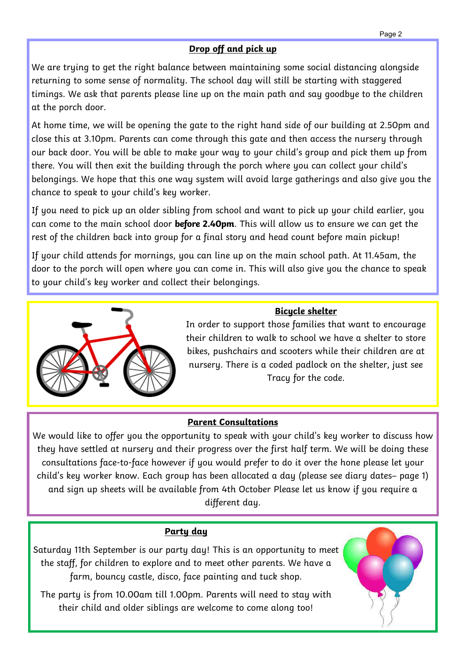# **Drop off and pick up**

We are trying to get the right balance between maintaining some social distancing alongside returning to some sense of normality. The school day will still be starting with staggered timings. We ask that parents please line up on the main path and say goodbye to the children at the porch door.

At home time, we will be opening the gate to the right hand side of our building at 2.50pm and close this at 3.10pm. Parents can come through this gate and then access the nursery through our back door. You will be able to make your way to your child's group and pick them up from there. You will then exit the building through the porch where you can collect your child's belongings. We hope that this one way system will avoid large gatherings and also give you the chance to speak to your child's key worker.

If you need to pick up an older sibling from school and want to pick up your child earlier, you can come to the main school door **before 2.40pm**. This will allow us to ensure we can get the rest of the children back into group for a final story and head count before main pickup!

If your child attends for mornings, you can line up on the main school path. At 11.45am, the door to the porch will open where you can come in. This will also give you the chance to speak to your child's key worker and collect their belongings.



## **Bicycle shelter**

In order to support those families that want to encourage their children to walk to school we have a shelter to store bikes, pushchairs and scooters while their children are at nursery. There is a coded padlock on the shelter, just see Tracy for the code.

## **Parent Consultations**

We would like to offer you the opportunity to speak with your child's key worker to discuss how they have settled at nursery and their progress over the first half term. We will be doing these consultations face-to-face however if you would prefer to do it over the hone please let your child's key worker know. Each group has been allocated a day (please see diary dates– page 1) and sign up sheets will be available from 4th October Please let us know if you require a different day.

## **Party day**

Saturday 11th September is our party day! This is an opportunity to meet the staff, for children to explore and to meet other parents. We have a farm, bouncy castle, disco, face painting and tuck shop.

The party is from 10.00am till 1.00pm. Parents will need to stay with their child and older siblings are welcome to come along too!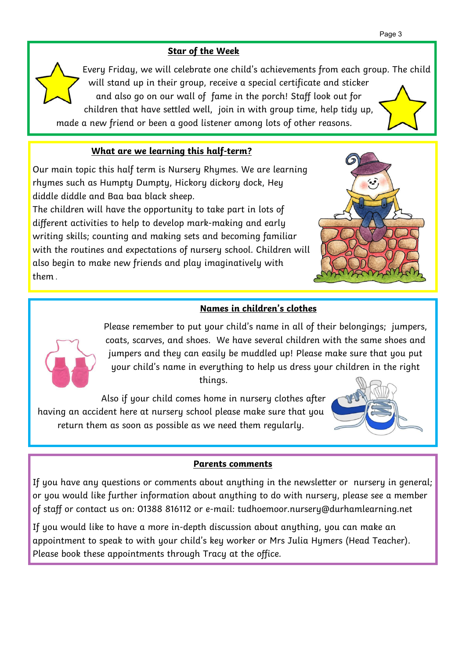## **Star of the Week**

Every Friday, we will celebrate one child's achievements from each group. The child will stand up in their group, receive a special certificate and sticker and also go on our wall of fame in the porch! Staff look out for children that have settled well, join in with group time, help tidy up, made a new friend or been a good listener among lots of other reasons.

# **What are we learning this half-term?**

Our main topic this half term is Nursery Rhymes. We are learning rhymes such as Humpty Dumpty, Hickory dickory dock, Hey diddle diddle and Baa baa black sheep.

The children will have the opportunity to take part in lots of different activities to help to develop mark-making and early writing skills; counting and making sets and becoming familiar with the routines and expectations of nursery school. Children will also begin to make new friends and play imaginatively with them .



# **Names in children's clothes**



Please remember to put your child's name in all of their belongings; jumpers, coats, scarves, and shoes. We have several children with the same shoes and jumpers and they can easily be muddled up! Please make sure that you put your child's name in everything to help us dress your children in the right things.

Also if your child comes home in nursery clothes after having an accident here at nursery school please make sure that you return them as soon as possible as we need them regularly.



## **Parents comments**

If you have any questions or comments about anything in the newsletter or nursery in general; or you would like further information about anything to do with nursery, please see a member of staff or contact us on: 01388 816112 or e-mail: tudhoemoor.nursery@durhamlearning.net

If you would like to have a more in-depth discussion about anything, you can make an appointment to speak to with your child's key worker or Mrs Julia Hymers (Head Teacher). Please book these appointments through Tracy at the office.